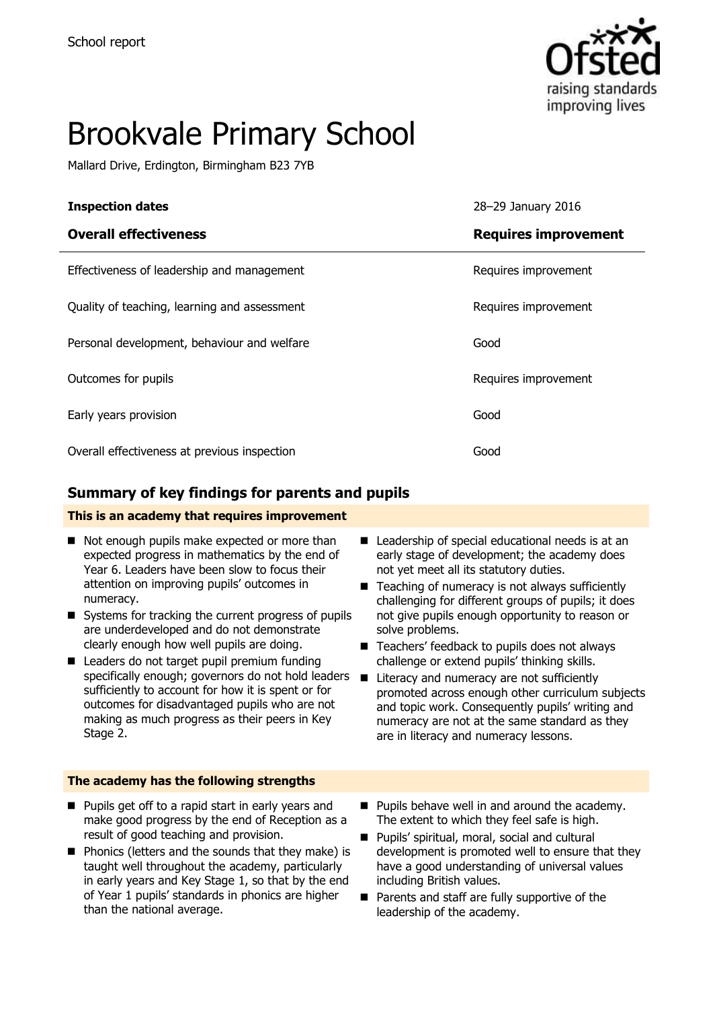

# Brookvale Primary School

Mallard Drive, Erdington, Birmingham B23 7YB

| <b>Inspection dates</b>                      | 28-29 January 2016          |
|----------------------------------------------|-----------------------------|
| <b>Overall effectiveness</b>                 | <b>Requires improvement</b> |
| Effectiveness of leadership and management   | Requires improvement        |
| Quality of teaching, learning and assessment | Requires improvement        |
| Personal development, behaviour and welfare  | Good                        |
| Outcomes for pupils                          | Requires improvement        |
| Early years provision                        | Good                        |
| Overall effectiveness at previous inspection | Good                        |

### **Summary of key findings for parents and pupils**

#### **This is an academy that requires improvement**

- Not enough pupils make expected or more than expected progress in mathematics by the end of Year 6. Leaders have been slow to focus their attention on improving pupils' outcomes in numeracy.
- Systems for tracking the current progress of pupils are underdeveloped and do not demonstrate clearly enough how well pupils are doing.
- Leaders do not target pupil premium funding specifically enough; governors do not hold leaders  $\blacksquare$ sufficiently to account for how it is spent or for outcomes for disadvantaged pupils who are not making as much progress as their peers in Key Stage 2.
- Leadership of special educational needs is at an early stage of development; the academy does not yet meet all its statutory duties.
- $\blacksquare$  Teaching of numeracy is not always sufficiently challenging for different groups of pupils; it does not give pupils enough opportunity to reason or solve problems.
- Teachers' feedback to pupils does not always challenge or extend pupils' thinking skills.
	- Literacy and numeracy are not sufficiently promoted across enough other curriculum subjects and topic work. Consequently pupils' writing and numeracy are not at the same standard as they are in literacy and numeracy lessons.

#### **The academy has the following strengths**

- **Pupils get off to a rapid start in early years and** make good progress by the end of Reception as a result of good teaching and provision.
- **Phonics (letters and the sounds that they make) is** taught well throughout the academy, particularly in early years and Key Stage 1, so that by the end of Year 1 pupils' standards in phonics are higher than the national average.
- **Pupils behave well in and around the academy.** The extent to which they feel safe is high.
- Pupils' spiritual, moral, social and cultural development is promoted well to ensure that they have a good understanding of universal values including British values.
- Parents and staff are fully supportive of the leadership of the academy.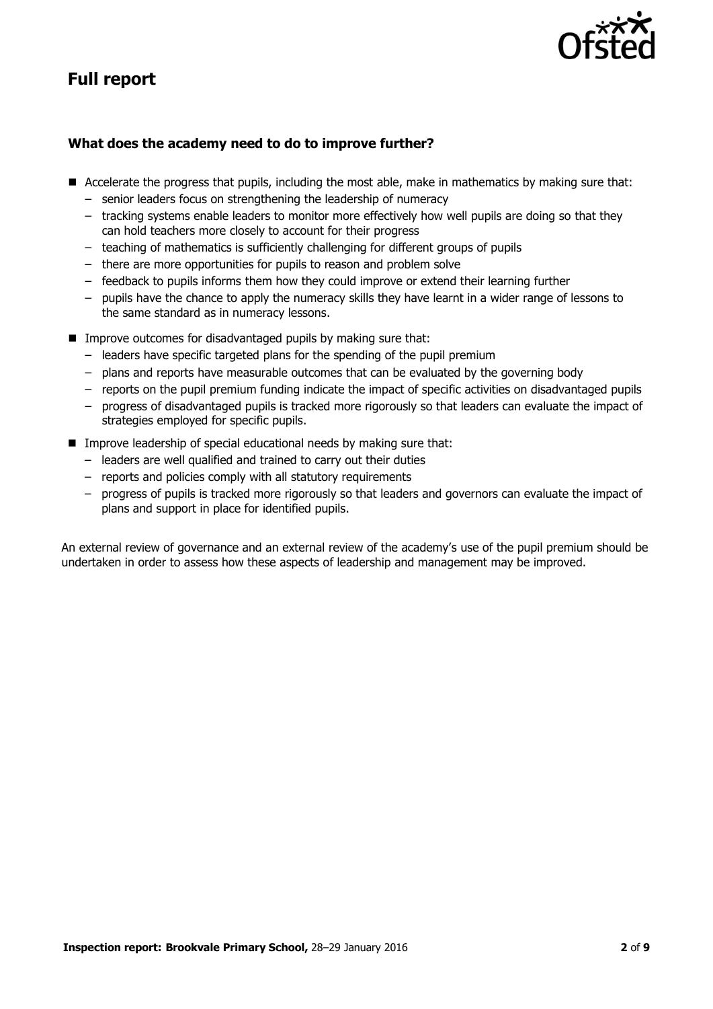## **Full report**



#### **What does the academy need to do to improve further?**

- Accelerate the progress that pupils, including the most able, make in mathematics by making sure that:
	- senior leaders focus on strengthening the leadership of numeracy
	- tracking systems enable leaders to monitor more effectively how well pupils are doing so that they can hold teachers more closely to account for their progress
	- teaching of mathematics is sufficiently challenging for different groups of pupils
	- there are more opportunities for pupils to reason and problem solve
	- feedback to pupils informs them how they could improve or extend their learning further
	- pupils have the chance to apply the numeracy skills they have learnt in a wider range of lessons to the same standard as in numeracy lessons.
- **IMPROVE OUTCOMES for disadvantaged pupils by making sure that:** 
	- leaders have specific targeted plans for the spending of the pupil premium
	- plans and reports have measurable outcomes that can be evaluated by the governing body
	- reports on the pupil premium funding indicate the impact of specific activities on disadvantaged pupils
	- progress of disadvantaged pupils is tracked more rigorously so that leaders can evaluate the impact of strategies employed for specific pupils.
- **IMPROVE LEADERSHIP OF SPECIAL EDUCATIONAL HYPE IN MOVE CONSUMING** Sure that:
	- leaders are well qualified and trained to carry out their duties
	- reports and policies comply with all statutory requirements
	- progress of pupils is tracked more rigorously so that leaders and governors can evaluate the impact of plans and support in place for identified pupils.

An external review of governance and an external review of the academy's use of the pupil premium should be undertaken in order to assess how these aspects of leadership and management may be improved.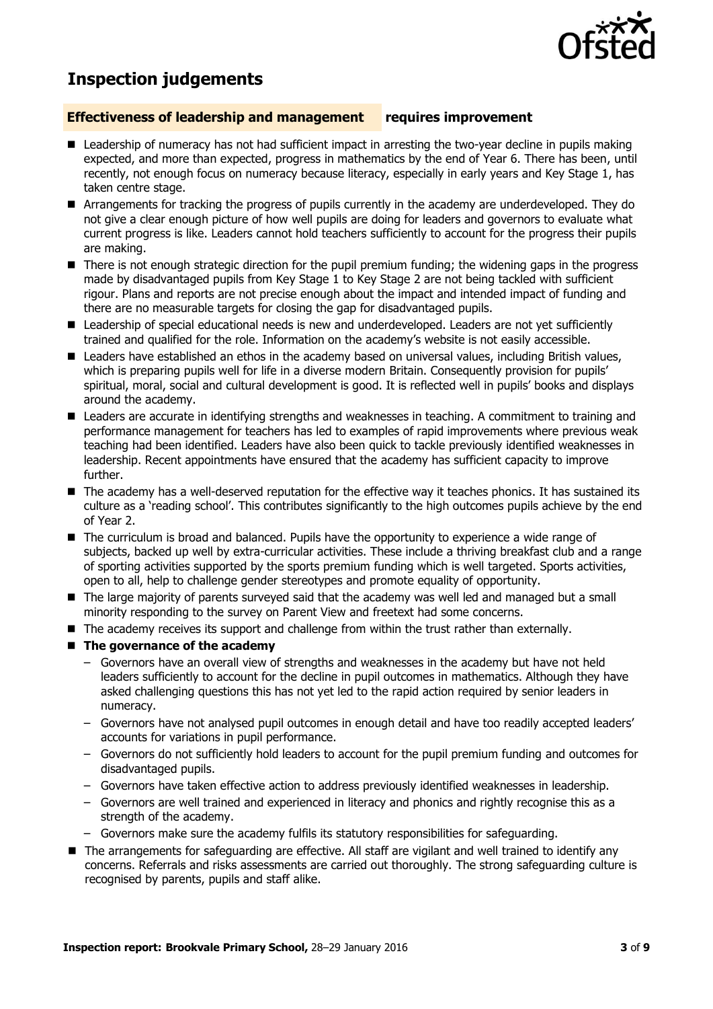

## **Inspection judgements**

#### **Effectiveness of leadership and management requires improvement**

- $\blacksquare$  Leadership of numeracy has not had sufficient impact in arresting the two-year decline in pupils making expected, and more than expected, progress in mathematics by the end of Year 6. There has been, until recently, not enough focus on numeracy because literacy, especially in early years and Key Stage 1, has taken centre stage.
- Arrangements for tracking the progress of pupils currently in the academy are underdeveloped. They do not give a clear enough picture of how well pupils are doing for leaders and governors to evaluate what current progress is like. Leaders cannot hold teachers sufficiently to account for the progress their pupils are making.
- There is not enough strategic direction for the pupil premium funding; the widening gaps in the progress made by disadvantaged pupils from Key Stage 1 to Key Stage 2 are not being tackled with sufficient rigour. Plans and reports are not precise enough about the impact and intended impact of funding and there are no measurable targets for closing the gap for disadvantaged pupils.
- Leadership of special educational needs is new and underdeveloped. Leaders are not yet sufficiently trained and qualified for the role. Information on the academy's website is not easily accessible.
- Leaders have established an ethos in the academy based on universal values, including British values, which is preparing pupils well for life in a diverse modern Britain. Consequently provision for pupils' spiritual, moral, social and cultural development is good. It is reflected well in pupils' books and displays around the academy.
- Leaders are accurate in identifying strengths and weaknesses in teaching. A commitment to training and performance management for teachers has led to examples of rapid improvements where previous weak teaching had been identified. Leaders have also been quick to tackle previously identified weaknesses in leadership. Recent appointments have ensured that the academy has sufficient capacity to improve further.
- The academy has a well-deserved reputation for the effective way it teaches phonics. It has sustained its culture as a 'reading school'. This contributes significantly to the high outcomes pupils achieve by the end of Year 2.
- The curriculum is broad and balanced. Pupils have the opportunity to experience a wide range of subjects, backed up well by extra-curricular activities. These include a thriving breakfast club and a range of sporting activities supported by the sports premium funding which is well targeted. Sports activities, open to all, help to challenge gender stereotypes and promote equality of opportunity.
- The large majority of parents surveyed said that the academy was well led and managed but a small minority responding to the survey on Parent View and freetext had some concerns.
- The academy receives its support and challenge from within the trust rather than externally.
- The governance of the academy
	- Governors have an overall view of strengths and weaknesses in the academy but have not held leaders sufficiently to account for the decline in pupil outcomes in mathematics. Although they have asked challenging questions this has not yet led to the rapid action required by senior leaders in numeracy.
	- Governors have not analysed pupil outcomes in enough detail and have too readily accepted leaders' accounts for variations in pupil performance.
	- Governors do not sufficiently hold leaders to account for the pupil premium funding and outcomes for disadvantaged pupils.
	- Governors have taken effective action to address previously identified weaknesses in leadership.
	- Governors are well trained and experienced in literacy and phonics and rightly recognise this as a strength of the academy.
	- Governors make sure the academy fulfils its statutory responsibilities for safeguarding.
- The arrangements for safeguarding are effective. All staff are vigilant and well trained to identify any concerns. Referrals and risks assessments are carried out thoroughly. The strong safeguarding culture is recognised by parents, pupils and staff alike.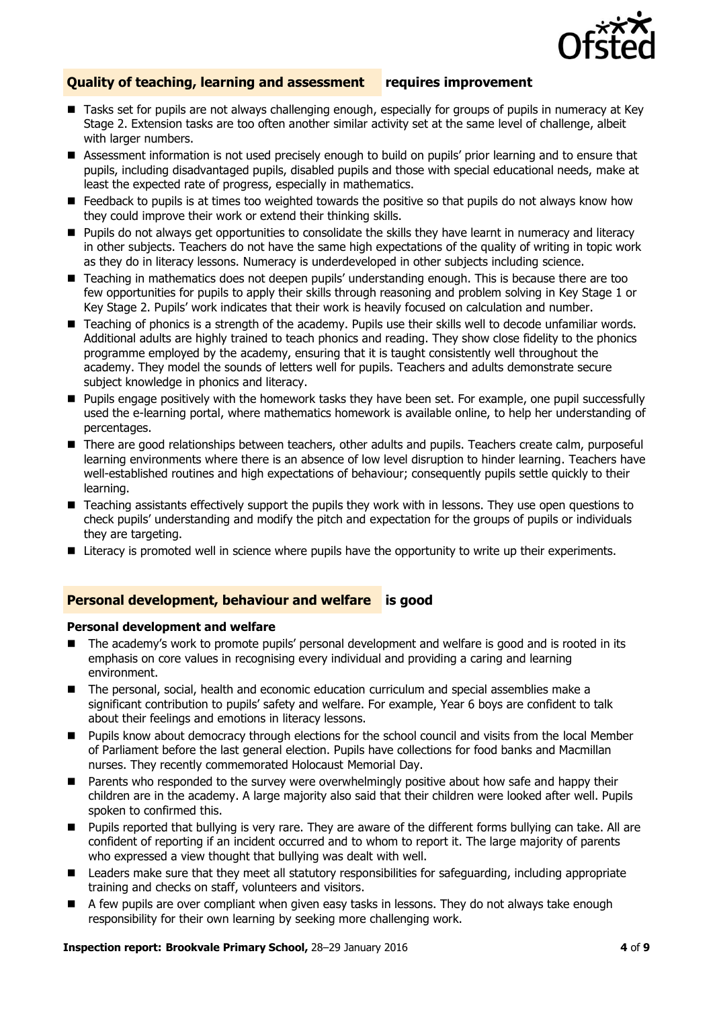

#### **Quality of teaching, learning and assessment requires improvement**

- Tasks set for pupils are not always challenging enough, especially for groups of pupils in numeracy at Key Stage 2. Extension tasks are too often another similar activity set at the same level of challenge, albeit with larger numbers.
- Assessment information is not used precisely enough to build on pupils' prior learning and to ensure that pupils, including disadvantaged pupils, disabled pupils and those with special educational needs, make at least the expected rate of progress, especially in mathematics.
- **Feedback to pupils is at times too weighted towards the positive so that pupils do not always know how** they could improve their work or extend their thinking skills.
- **Pupils do not always get opportunities to consolidate the skills they have learnt in numeracy and literacy** in other subjects. Teachers do not have the same high expectations of the quality of writing in topic work as they do in literacy lessons. Numeracy is underdeveloped in other subjects including science.
- Teaching in mathematics does not deepen pupils' understanding enough. This is because there are too few opportunities for pupils to apply their skills through reasoning and problem solving in Key Stage 1 or Key Stage 2. Pupils' work indicates that their work is heavily focused on calculation and number.
- Teaching of phonics is a strength of the academy. Pupils use their skills well to decode unfamiliar words. Additional adults are highly trained to teach phonics and reading. They show close fidelity to the phonics programme employed by the academy, ensuring that it is taught consistently well throughout the academy. They model the sounds of letters well for pupils. Teachers and adults demonstrate secure subject knowledge in phonics and literacy.
- **Pupils engage positively with the homework tasks they have been set. For example, one pupil successfully** used the e-learning portal, where mathematics homework is available online, to help her understanding of percentages.
- There are good relationships between teachers, other adults and pupils. Teachers create calm, purposeful learning environments where there is an absence of low level disruption to hinder learning. Teachers have well-established routines and high expectations of behaviour; consequently pupils settle quickly to their learning.
- Teaching assistants effectively support the pupils they work with in lessons. They use open questions to check pupils' understanding and modify the pitch and expectation for the groups of pupils or individuals they are targeting.
- **Literacy is promoted well in science where pupils have the opportunity to write up their experiments.**

#### **Personal development, behaviour and welfare is good**

#### **Personal development and welfare**

- The academy's work to promote pupils' personal development and welfare is good and is rooted in its emphasis on core values in recognising every individual and providing a caring and learning environment.
- The personal, social, health and economic education curriculum and special assemblies make a significant contribution to pupils' safety and welfare. For example, Year 6 boys are confident to talk about their feelings and emotions in literacy lessons.
- **Pupils know about democracy through elections for the school council and visits from the local Member** of Parliament before the last general election. Pupils have collections for food banks and Macmillan nurses. They recently commemorated Holocaust Memorial Day.
- **Parents who responded to the survey were overwhelmingly positive about how safe and happy their** children are in the academy. A large majority also said that their children were looked after well. Pupils spoken to confirmed this.
- **Pupils reported that bullying is very rare. They are aware of the different forms bullying can take. All are** confident of reporting if an incident occurred and to whom to report it. The large majority of parents who expressed a view thought that bullying was dealt with well.
- **E** Leaders make sure that they meet all statutory responsibilities for safeguarding, including appropriate training and checks on staff, volunteers and visitors.
- A few pupils are over compliant when given easy tasks in lessons. They do not always take enough responsibility for their own learning by seeking more challenging work.

#### **Inspection report: Brookvale Primary School,** 28–29 January 2016 **4** of **9**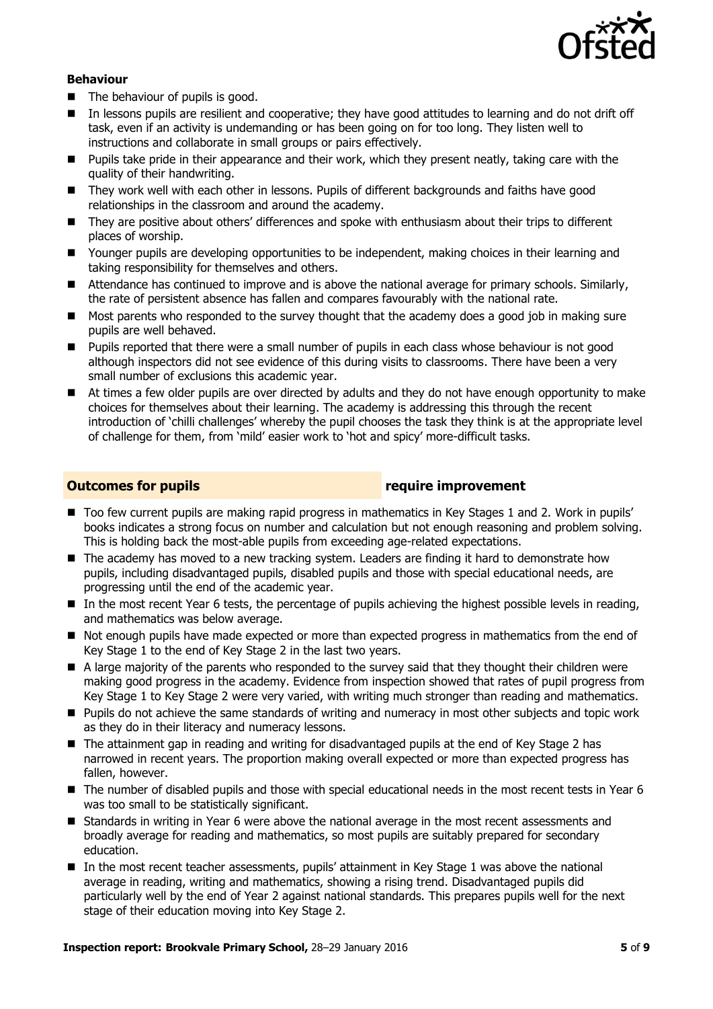

#### **Behaviour**

- The behaviour of pupils is good.
- In lessons pupils are resilient and cooperative; they have good attitudes to learning and do not drift off task, even if an activity is undemanding or has been going on for too long. They listen well to instructions and collaborate in small groups or pairs effectively.
- **Pupils take pride in their appearance and their work, which they present neatly, taking care with the** quality of their handwriting.
- They work well with each other in lessons. Pupils of different backgrounds and faiths have good relationships in the classroom and around the academy.
- They are positive about others' differences and spoke with enthusiasm about their trips to different places of worship.
- Younger pupils are developing opportunities to be independent, making choices in their learning and taking responsibility for themselves and others.
- **Attendance has continued to improve and is above the national average for primary schools. Similarly,** the rate of persistent absence has fallen and compares favourably with the national rate.
- Most parents who responded to the survey thought that the academy does a good job in making sure pupils are well behaved.
- Pupils reported that there were a small number of pupils in each class whose behaviour is not good although inspectors did not see evidence of this during visits to classrooms. There have been a very small number of exclusions this academic year.
- At times a few older pupils are over directed by adults and they do not have enough opportunity to make choices for themselves about their learning. The academy is addressing this through the recent introduction of 'chilli challenges' whereby the pupil chooses the task they think is at the appropriate level of challenge for them, from 'mild' easier work to 'hot and spicy' more-difficult tasks.

#### **Outcomes for pupils require improvement**

- Too few current pupils are making rapid progress in mathematics in Key Stages 1 and 2. Work in pupils' books indicates a strong focus on number and calculation but not enough reasoning and problem solving. This is holding back the most-able pupils from exceeding age-related expectations.
- The academy has moved to a new tracking system. Leaders are finding it hard to demonstrate how pupils, including disadvantaged pupils, disabled pupils and those with special educational needs, are progressing until the end of the academic year.
- In the most recent Year 6 tests, the percentage of pupils achieving the highest possible levels in reading, and mathematics was below average.
- Not enough pupils have made expected or more than expected progress in mathematics from the end of Key Stage 1 to the end of Key Stage 2 in the last two years.
- A large majority of the parents who responded to the survey said that they thought their children were making good progress in the academy. Evidence from inspection showed that rates of pupil progress from Key Stage 1 to Key Stage 2 were very varied, with writing much stronger than reading and mathematics.
- **Pupils do not achieve the same standards of writing and numeracy in most other subjects and topic work** as they do in their literacy and numeracy lessons.
- The attainment gap in reading and writing for disadvantaged pupils at the end of Key Stage 2 has narrowed in recent years. The proportion making overall expected or more than expected progress has fallen, however.
- The number of disabled pupils and those with special educational needs in the most recent tests in Year 6 was too small to be statistically significant.
- Standards in writing in Year 6 were above the national average in the most recent assessments and broadly average for reading and mathematics, so most pupils are suitably prepared for secondary education.
- In the most recent teacher assessments, pupils' attainment in Key Stage 1 was above the national average in reading, writing and mathematics, showing a rising trend. Disadvantaged pupils did particularly well by the end of Year 2 against national standards. This prepares pupils well for the next stage of their education moving into Key Stage 2.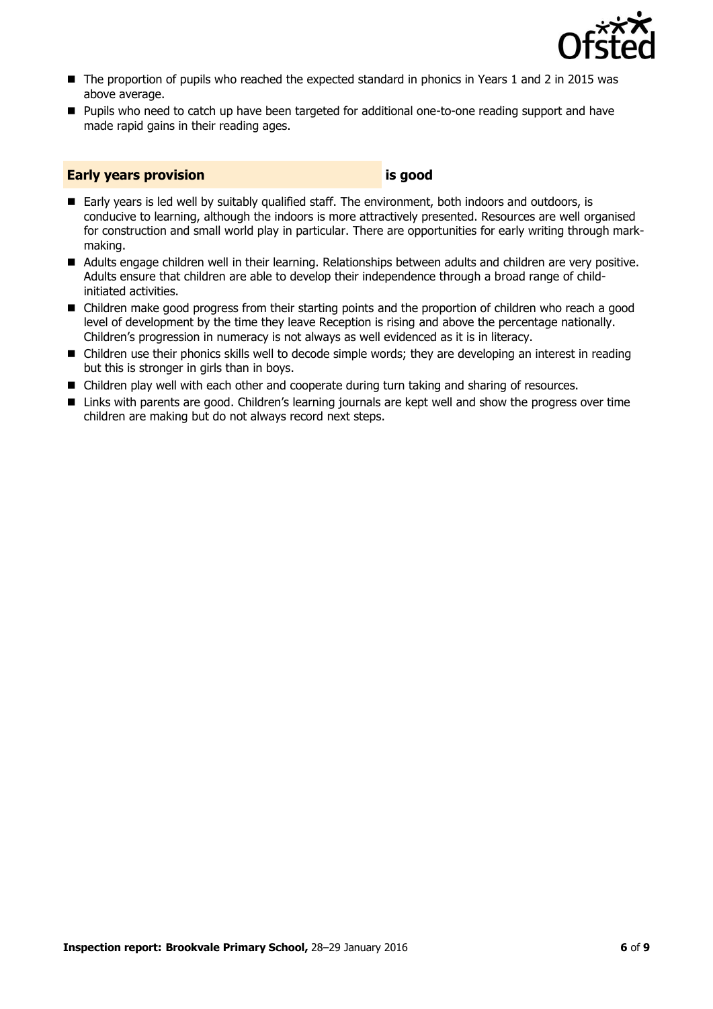

- The proportion of pupils who reached the expected standard in phonics in Years 1 and 2 in 2015 was above average.
- Pupils who need to catch up have been targeted for additional one-to-one reading support and have made rapid gains in their reading ages.

#### **Early years provision is good**

- Early years is led well by suitably qualified staff. The environment, both indoors and outdoors, is conducive to learning, although the indoors is more attractively presented. Resources are well organised for construction and small world play in particular. There are opportunities for early writing through markmaking.
- Adults engage children well in their learning. Relationships between adults and children are very positive. Adults ensure that children are able to develop their independence through a broad range of childinitiated activities.
- Children make good progress from their starting points and the proportion of children who reach a good level of development by the time they leave Reception is rising and above the percentage nationally. Children's progression in numeracy is not always as well evidenced as it is in literacy.
- Children use their phonics skills well to decode simple words; they are developing an interest in reading but this is stronger in girls than in boys.
- Children play well with each other and cooperate during turn taking and sharing of resources.
- Links with parents are good. Children's learning journals are kept well and show the progress over time children are making but do not always record next steps.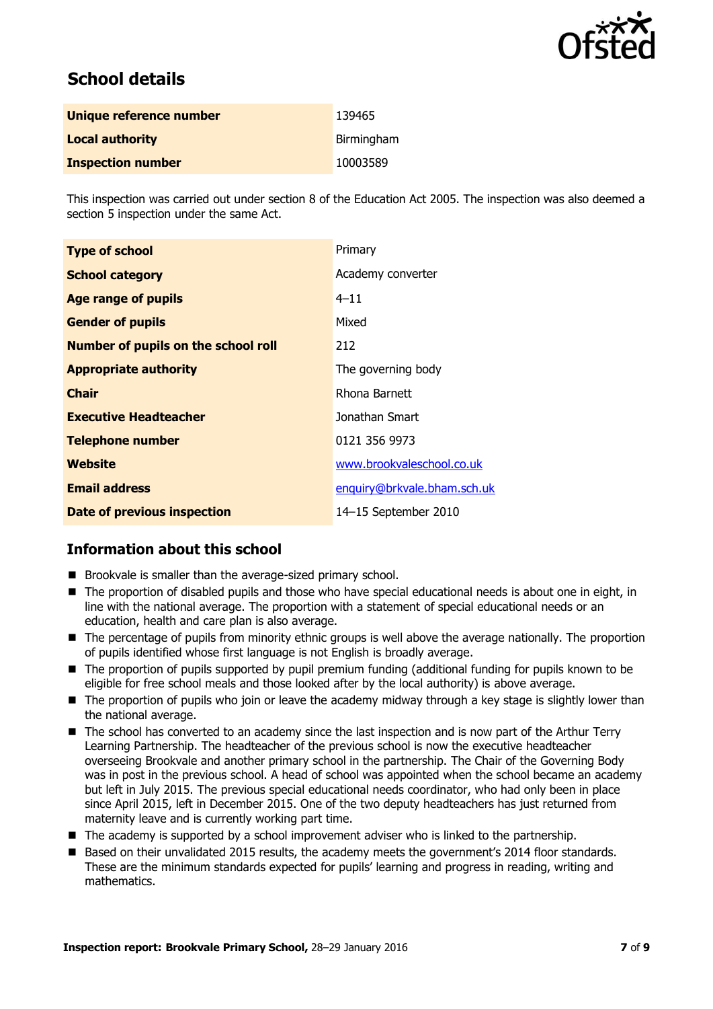

## **School details**

| Unique reference number  | 139465     |
|--------------------------|------------|
| <b>Local authority</b>   | Birmingham |
| <b>Inspection number</b> | 10003589   |

This inspection was carried out under section 8 of the Education Act 2005. The inspection was also deemed a section 5 inspection under the same Act.

| <b>Type of school</b>                      | Primary                     |
|--------------------------------------------|-----------------------------|
| <b>School category</b>                     | Academy converter           |
| <b>Age range of pupils</b>                 | $4 - 11$                    |
| <b>Gender of pupils</b>                    | Mixed                       |
| <b>Number of pupils on the school roll</b> | 212                         |
| <b>Appropriate authority</b>               | The governing body          |
| <b>Chair</b>                               | Rhona Barnett               |
| <b>Executive Headteacher</b>               | Jonathan Smart              |
| <b>Telephone number</b>                    | 0121 356 9973               |
| <b>Website</b>                             | www.brookvaleschool.co.uk   |
| <b>Email address</b>                       | enquiry@brkvale.bham.sch.uk |
| <b>Date of previous inspection</b>         | 14-15 September 2010        |

### **Information about this school**

- **Brookvale is smaller than the average-sized primary school.**
- The proportion of disabled pupils and those who have special educational needs is about one in eight, in line with the national average. The proportion with a statement of special educational needs or an education, health and care plan is also average.
- The percentage of pupils from minority ethnic groups is well above the average nationally. The proportion of pupils identified whose first language is not English is broadly average.
- The proportion of pupils supported by pupil premium funding (additional funding for pupils known to be eligible for free school meals and those looked after by the local authority) is above average.
- **The proportion of pupils who join or leave the academy midway through a key stage is slightly lower than** the national average.
- The school has converted to an academy since the last inspection and is now part of the Arthur Terry Learning Partnership. The headteacher of the previous school is now the executive headteacher overseeing Brookvale and another primary school in the partnership. The Chair of the Governing Body was in post in the previous school. A head of school was appointed when the school became an academy but left in July 2015. The previous special educational needs coordinator, who had only been in place since April 2015, left in December 2015. One of the two deputy headteachers has just returned from maternity leave and is currently working part time.
- The academy is supported by a school improvement adviser who is linked to the partnership.
- Based on their unvalidated 2015 results, the academy meets the government's 2014 floor standards. These are the minimum standards expected for pupils' learning and progress in reading, writing and mathematics.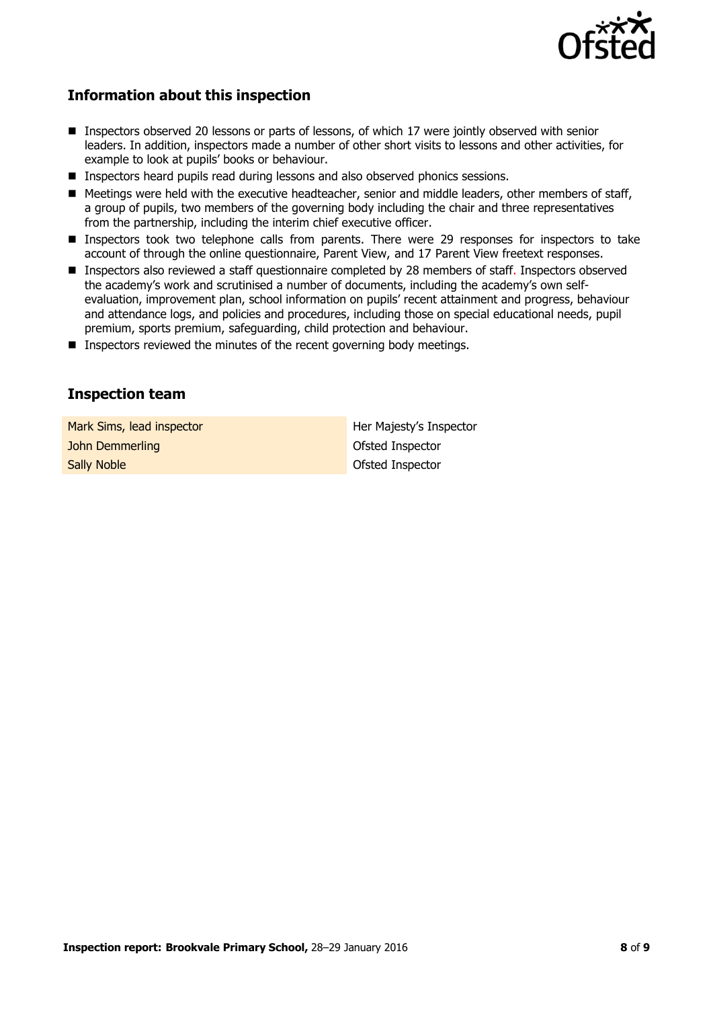

### **Information about this inspection**

- Inspectors observed 20 lessons or parts of lessons, of which 17 were jointly observed with senior leaders. In addition, inspectors made a number of other short visits to lessons and other activities, for example to look at pupils' books or behaviour.
- **Inspectors heard pupils read during lessons and also observed phonics sessions.**
- Meetings were held with the executive headteacher, senior and middle leaders, other members of staff, a group of pupils, two members of the governing body including the chair and three representatives from the partnership, including the interim chief executive officer.
- Inspectors took two telephone calls from parents. There were 29 responses for inspectors to take account of through the online questionnaire, Parent View, and 17 Parent View freetext responses.
- Inspectors also reviewed a staff questionnaire completed by 28 members of staff. Inspectors observed the academy's work and scrutinised a number of documents, including the academy's own selfevaluation, improvement plan, school information on pupils' recent attainment and progress, behaviour and attendance logs, and policies and procedures, including those on special educational needs, pupil premium, sports premium, safeguarding, child protection and behaviour.
- **Inspectors reviewed the minutes of the recent governing body meetings.**

### **Inspection team**

Mark Sims, lead inspector Her Majesty's Inspector **John Demmerling Contract Contract Contract Contract Contract Contract Contract Contract Contract Contract Contract Contract Contract Contract Contract Contract Contract Contract Contract Contract Contract Contract Contrac Sally Noble Contract Contract Contract Contract Contract Contract Contract Contract Contract Contract Contract Contract Contract Contract Contract Contract Contract Contract Contract Contract Contract Contract Contract Co**